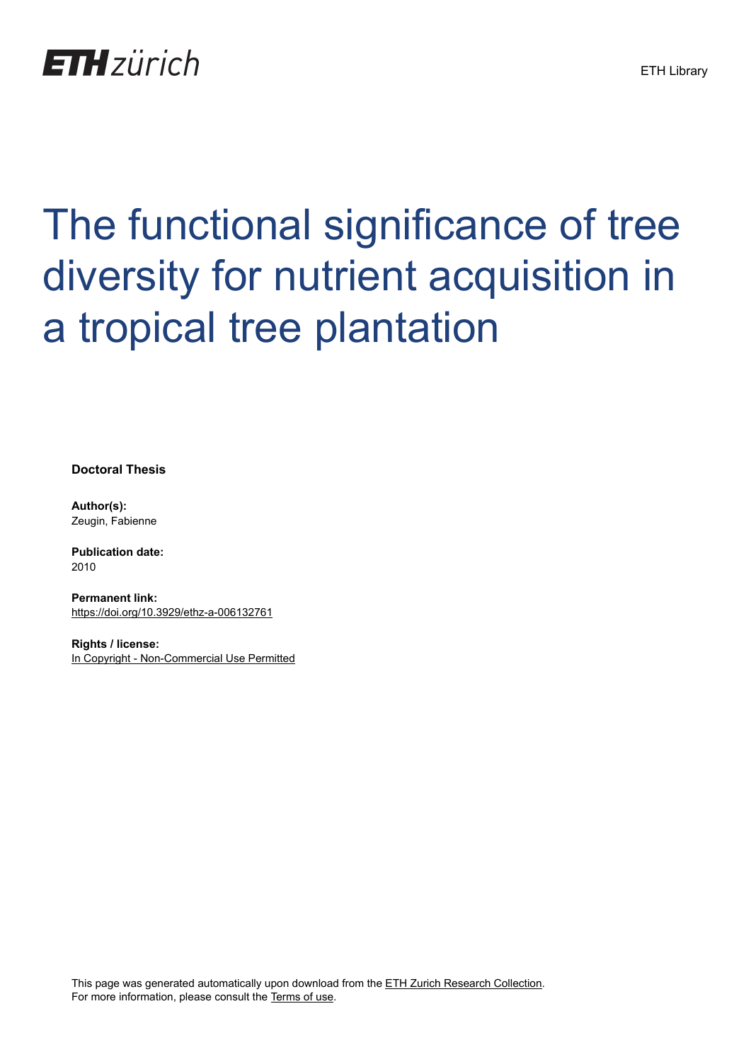

## The functional significance of tree diversity for nutrient acquisition in a tropical tree plantation

**Doctoral Thesis**

**Author(s):** Zeugin, Fabienne

**Publication date:** 2010

**Permanent link:** <https://doi.org/10.3929/ethz-a-006132761>

**Rights / license:** [In Copyright - Non-Commercial Use Permitted](http://rightsstatements.org/page/InC-NC/1.0/)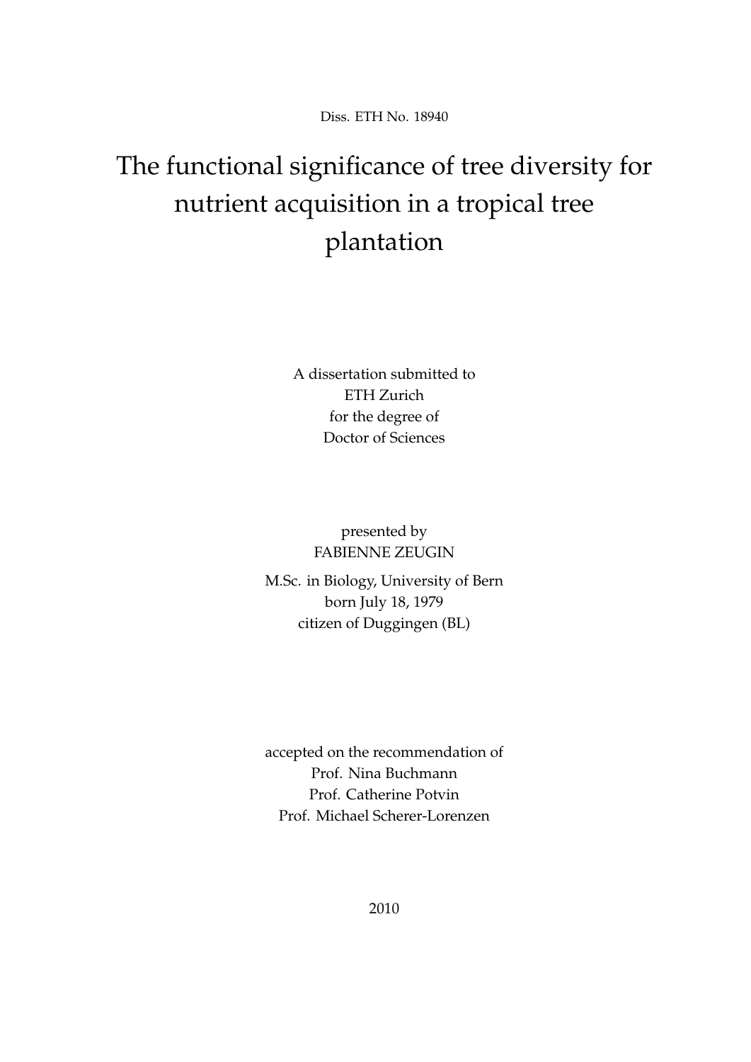Diss. ETH No. 18940

## The functional significance of tree diversity for nutrient acquisition in a tropical tree plantation

A dissertation submitted to ETH Zurich for the degree of Doctor of Sciences

> presented by FABIENNE ZEUGIN

M.Sc. in Biology, University of Bern born July 18, 1979 citizen of Duggingen (BL)

accepted on the recommendation of Prof. Nina Buchmann Prof. Catherine Potvin Prof. Michael Scherer-Lorenzen

2010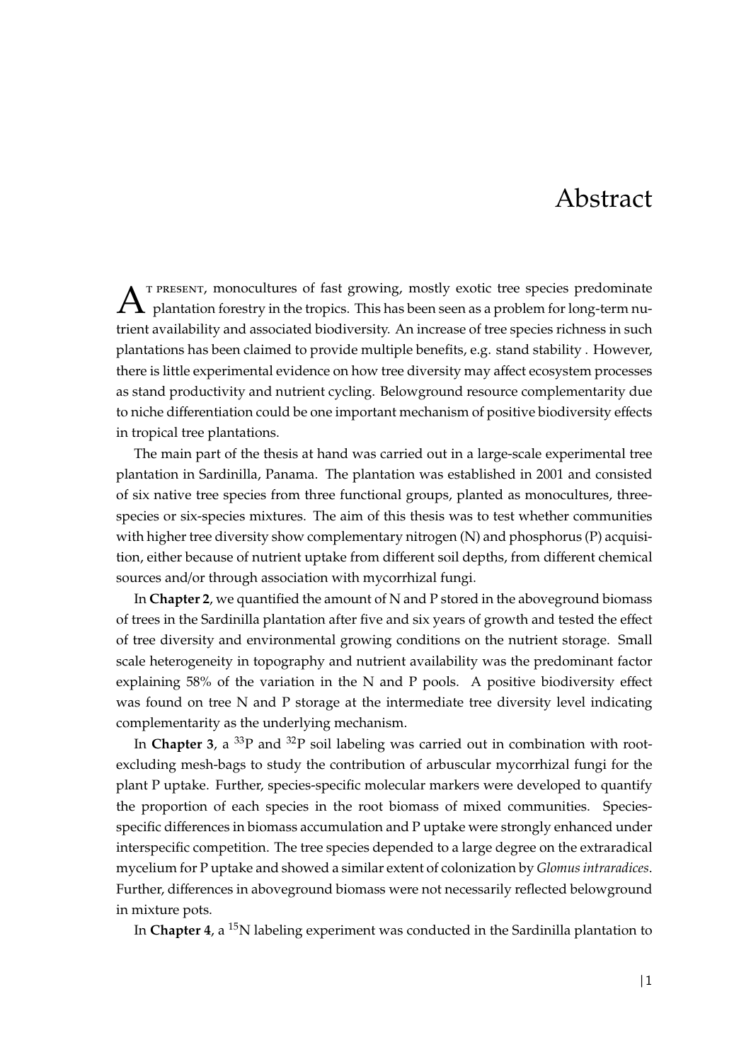## Abstract

 $A$ <sup>T PRESENT,</sup> monocultures of fast growing, mostly exotic tree species predominate plantation forestry in the tropics. This has been seen as a problem for long-term nu- , monocultures of fast growing, mostly exotic tree species predominate trient availability and associated biodiversity. An increase of tree species richness in such plantations has been claimed to provide multiple benefits, e.g. stand stability . However, there is little experimental evidence on how tree diversity may affect ecosystem processes as stand productivity and nutrient cycling. Belowground resource complementarity due to niche differentiation could be one important mechanism of positive biodiversity effects in tropical tree plantations.

The main part of the thesis at hand was carried out in a large-scale experimental tree plantation in Sardinilla, Panama. The plantation was established in 2001 and consisted of six native tree species from three functional groups, planted as monocultures, threespecies or six-species mixtures. The aim of this thesis was to test whether communities with higher tree diversity show complementary nitrogen (N) and phosphorus (P) acquisition, either because of nutrient uptake from different soil depths, from different chemical sources and/or through association with mycorrhizal fungi.

In **Chapter 2**, we quantified the amount of N and P stored in the aboveground biomass of trees in the Sardinilla plantation after five and six years of growth and tested the effect of tree diversity and environmental growing conditions on the nutrient storage. Small scale heterogeneity in topography and nutrient availability was the predominant factor explaining 58% of the variation in the N and P pools. A positive biodiversity effect was found on tree N and P storage at the intermediate tree diversity level indicating complementarity as the underlying mechanism.

In **Chapter 3**, a  ${}^{33}P$  and  ${}^{32}P$  soil labeling was carried out in combination with rootexcluding mesh-bags to study the contribution of arbuscular mycorrhizal fungi for the plant P uptake. Further, species-specific molecular markers were developed to quantify the proportion of each species in the root biomass of mixed communities. Speciesspecific differences in biomass accumulation and P uptake were strongly enhanced under interspecific competition. The tree species depended to a large degree on the extraradical mycelium for P uptake and showed a similar extent of colonization by *Glomus intraradices*. Further, differences in aboveground biomass were not necessarily reflected belowground in mixture pots.

In **Chapter 4**, a <sup>15</sup>N labeling experiment was conducted in the Sardinilla plantation to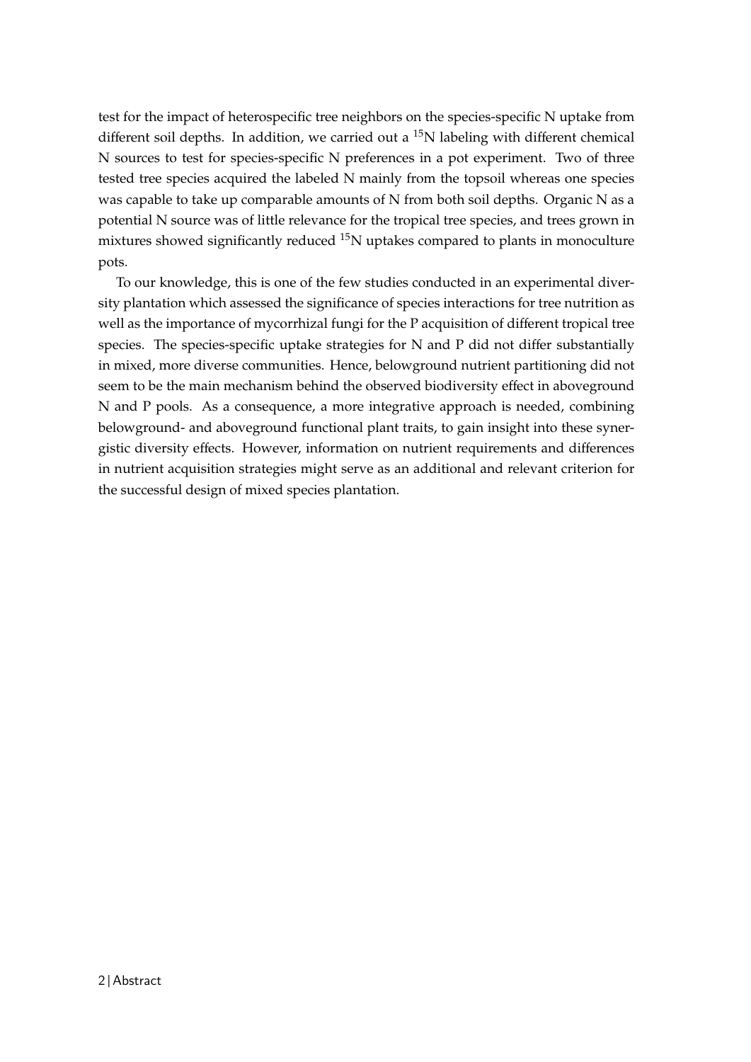test for the impact of heterospecific tree neighbors on the species-specific N uptake from different soil depths. In addition, we carried out a  $^{15}N$  labeling with different chemical N sources to test for species-specific N preferences in a pot experiment. Two of three tested tree species acquired the labeled N mainly from the topsoil whereas one species was capable to take up comparable amounts of N from both soil depths. Organic N as a potential N source was of little relevance for the tropical tree species, and trees grown in mixtures showed significantly reduced  $^{15}N$  uptakes compared to plants in monoculture pots.

To our knowledge, this is one of the few studies conducted in an experimental diversity plantation which assessed the significance of species interactions for tree nutrition as well as the importance of mycorrhizal fungi for the P acquisition of different tropical tree species. The species-specific uptake strategies for N and P did not differ substantially in mixed, more diverse communities. Hence, belowground nutrient partitioning did not seem to be the main mechanism behind the observed biodiversity effect in aboveground N and P pools. As a consequence, a more integrative approach is needed, combining belowground- and aboveground functional plant traits, to gain insight into these synergistic diversity effects. However, information on nutrient requirements and differences in nutrient acquisition strategies might serve as an additional and relevant criterion for the successful design of mixed species plantation.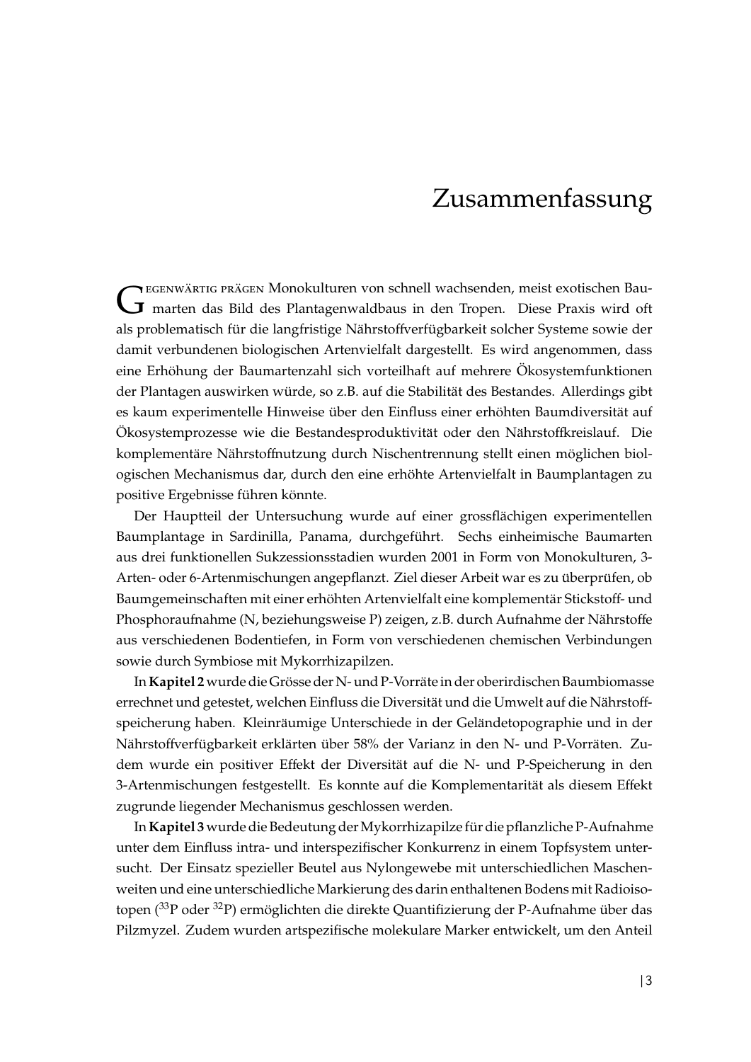## Zusammenfassung

GEGENWARTIG PRAGEN MONOKUIturen von schnell wachsenden, meist exotischen Bau-<br>Gegen marten das Bild des Plantagenwaldbaus in den Tropen. Diese Praxis wird oft EGENWÄRTIG PRÄGEN Monokulturen von schnell wachsenden, meist exotischen Bauals problematisch für die langfristige Nährstoffverfügbarkeit solcher Systeme sowie der damit verbundenen biologischen Artenvielfalt dargestellt. Es wird angenommen, dass eine Erhöhung der Baumartenzahl sich vorteilhaft auf mehrere Ökosystemfunktionen der Plantagen auswirken würde, so z.B. auf die Stabilität des Bestandes. Allerdings gibt es kaum experimentelle Hinweise über den Einfluss einer erhöhten Baumdiversität auf Ökosystemprozesse wie die Bestandesproduktivität oder den Nährstoffkreislauf. Die komplementäre Nährstoffnutzung durch Nischentrennung stellt einen möglichen biologischen Mechanismus dar, durch den eine erhöhte Artenvielfalt in Baumplantagen zu positive Ergebnisse führen könnte.

Der Hauptteil der Untersuchung wurde auf einer grossflächigen experimentellen Baumplantage in Sardinilla, Panama, durchgefuhrt. Sechs einheimische Baumarten ¨ aus drei funktionellen Sukzessionsstadien wurden 2001 in Form von Monokulturen, 3- Arten- oder 6-Artenmischungen angepflanzt. Ziel dieser Arbeit war es zu überprüfen, ob Baumgemeinschaften mit einer erhöhten Artenvielfalt eine komplementär Stickstoff- und Phosphoraufnahme (N, beziehungsweise P) zeigen, z.B. durch Aufnahme der Nährstoffe aus verschiedenen Bodentiefen, in Form von verschiedenen chemischen Verbindungen sowie durch Symbiose mit Mykorrhizapilzen.

In Kapitel 2 wurde die Grösse der N- und P-Vorräte in der oberirdischen Baumbiomasse errechnet und getestet, welchen Einfluss die Diversität und die Umwelt auf die Nährstoffspeicherung haben. Kleinräumige Unterschiede in der Geländetopographie und in der Nährstoffverfügbarkeit erklärten über 58% der Varianz in den N- und P-Vorräten. Zudem wurde ein positiver Effekt der Diversität auf die N- und P-Speicherung in den 3-Artenmischungen festgestellt. Es konnte auf die Komplementarität als diesem Effekt zugrunde liegender Mechanismus geschlossen werden.

In**Kapitel 3** wurde die Bedeutung derMykorrhizapilze fur die pflanzliche P-Aufnahme ¨ unter dem Einfluss intra- und interspezifischer Konkurrenz in einem Topfsystem untersucht. Der Einsatz spezieller Beutel aus Nylongewebe mit unterschiedlichen Maschenweiten und eine unterschiedliche Markierung des darin enthaltenen Bodens mit Radioisotopen ( $33P$  oder  $32P$ ) ermöglichten die direkte Quantifizierung der P-Aufnahme über das Pilzmyzel. Zudem wurden artspezifische molekulare Marker entwickelt, um den Anteil